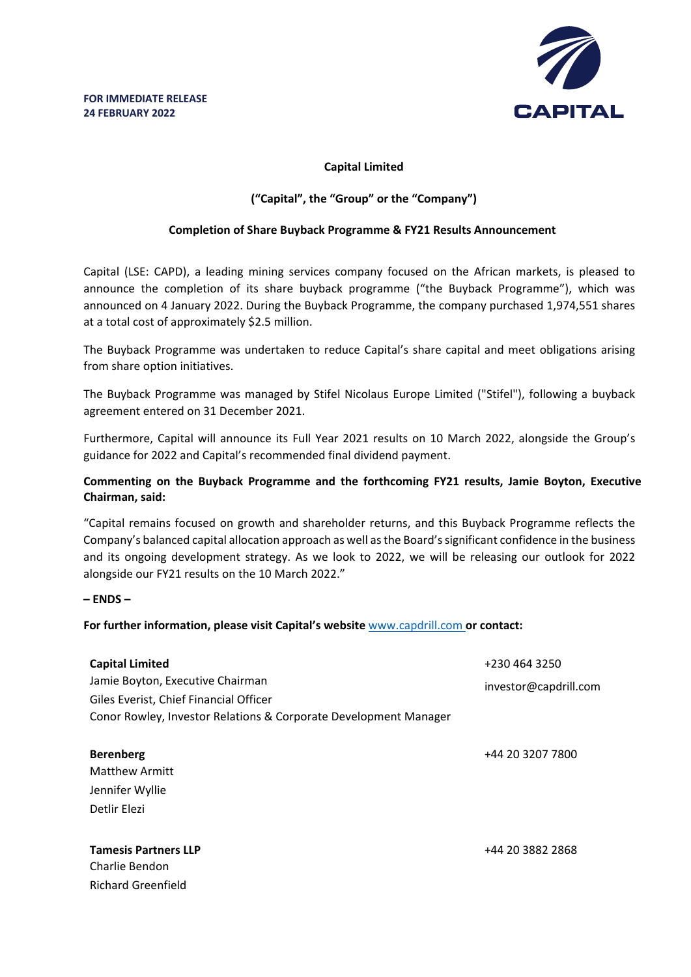

# **Capital Limited**

## **("Capital", the "Group" or the "Company")**

### **Completion of Share Buyback Programme & FY21 Results Announcement**

Capital (LSE: CAPD), a leading mining services company focused on the African markets, is pleased to announce the completion of its share buyback programme ("the Buyback Programme"), which was announced on 4 January 2022. During the Buyback Programme, the company purchased 1,974,551 shares at a total cost of approximately \$2.5 million.

The Buyback Programme was undertaken to reduce Capital's share capital and meet obligations arising from share option initiatives.

The Buyback Programme was managed by Stifel Nicolaus Europe Limited ("Stifel"), following a buyback agreement entered on 31 December 2021.

Furthermore, Capital will announce its Full Year 2021 results on 10 March 2022, alongside the Group's guidance for 2022 and Capital's recommended final dividend payment.

## **Commenting on the Buyback Programme and the forthcoming FY21 results, Jamie Boyton, Executive Chairman, said:**

"Capital remains focused on growth and shareholder returns, and this Buyback Programme reflects the Company's balanced capital allocation approach as well as the Board's significant confidence in the business and its ongoing development strategy. As we look to 2022, we will be releasing our outlook for 2022 alongside our FY21 results on the 10 March 2022."

#### **– ENDS –**

#### **For further information, please visit Capital's website** www.capdrill.com **or contact:**

| <b>Capital Limited</b><br>Jamie Boyton, Executive Chairman                                                 | +230 464 3250<br>investor@capdrill.com |
|------------------------------------------------------------------------------------------------------------|----------------------------------------|
| Giles Everist, Chief Financial Officer<br>Conor Rowley, Investor Relations & Corporate Development Manager |                                        |
| <b>Berenberg</b><br><b>Matthew Armitt</b><br>Jennifer Wyllie<br>Detlir Elezi                               | +44 20 3207 7800                       |
| <b>Tamesis Partners LLP</b><br>Charlie Bendon<br>Richard Greenfield                                        | +44 20 3882 2868                       |